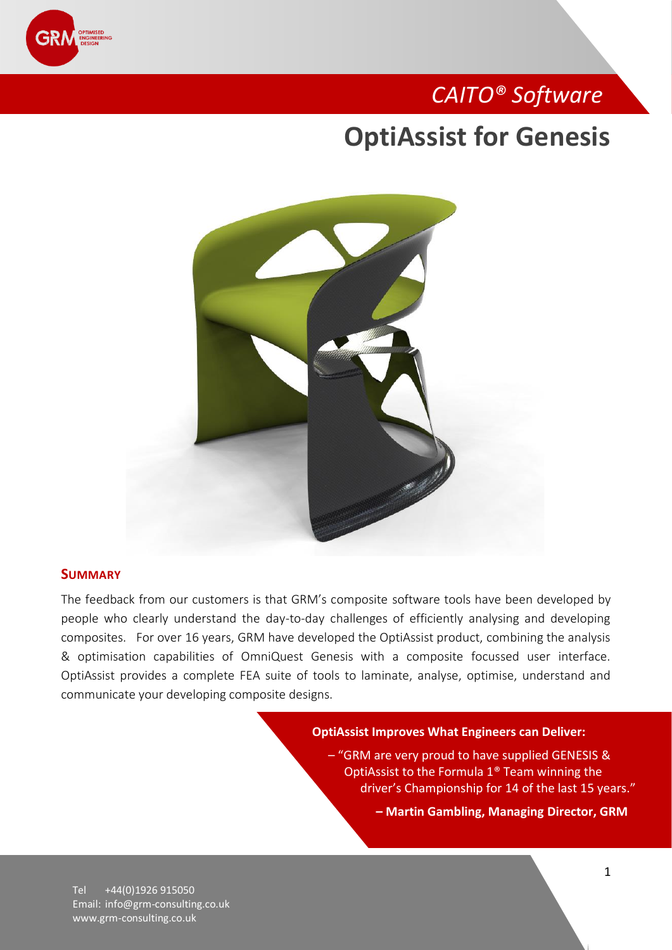

## *CAITO® Software*

## **OptiAssist for Genesis**



### **SUMMARY**

The feedback from our customers is that GRM's composite software tools have been developed by people who clearly understand the day-to-day challenges of efficiently analysing and developing composites. For over 16 years, GRM have developed the OptiAssist product, combining the analysis & optimisation capabilities of OmniQuest Genesis with a composite focussed user interface. OptiAssist provides a complete FEA suite of tools to laminate, analyse, optimise, understand and communicate your developing composite designs.

#### **OptiAssist Improves What Engineers can Deliver:**

– "GRM are very proud to have supplied GENESIS & OptiAssist to the Formula 1® Team winning the driver's Championship for 14 of the last 15 years."

**– Martin Gambling, Managing Director, GRM**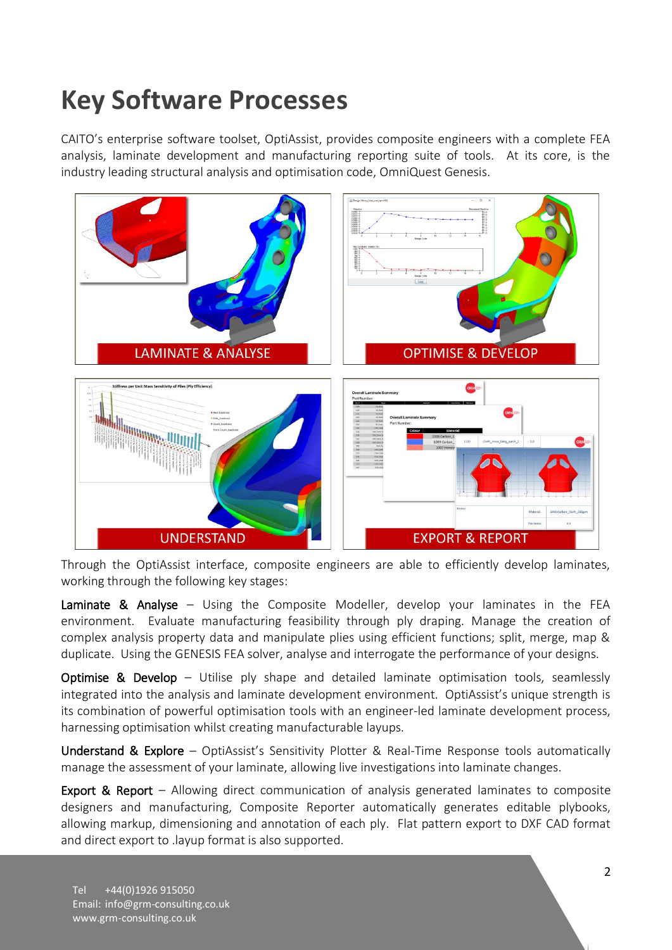# **Key Software Processes**

CAITO's enterprise software toolset, OptiAssist, provides composite engineers with a complete FEA analysis, laminate development and manufacturing reporting suite of tools. At its core, is the industry leading structural analysis and optimisation code, OmniQuest Genesis.



Through the OptiAssist interface, composite engineers are able to efficiently develop laminates, working through the following key stages:

Laminate & Analyse - Using the Composite Modeller, develop your laminates in the FEA environment. Evaluate manufacturing feasibility through ply draping. Manage the creation of complex analysis property data and manipulate plies using efficient functions; split, merge, map & duplicate. Using the GENESIS FEA solver, analyse and interrogate the performance of your designs.

Optimise & Develop - Utilise ply shape and detailed laminate optimisation tools, seamlessly integrated into the analysis and laminate development environment. OptiAssist's unique strength is its combination of powerful optimisation tools with an engineer-led laminate development process, harnessing optimisation whilst creating manufacturable layups.

Understand & Explore – OptiAssist's Sensitivity Plotter & Real-Time Response tools automatically manage the assessment of your laminate, allowing live investigations into laminate changes.

**Export & Report** – Allowing direct communication of analysis generated laminates to composite designers and manufacturing, Composite Reporter automatically generates editable plybooks, allowing markup, dimensioning and annotation of each ply. Flat pattern export to DXF CAD format and direct export to .layup format is also supported.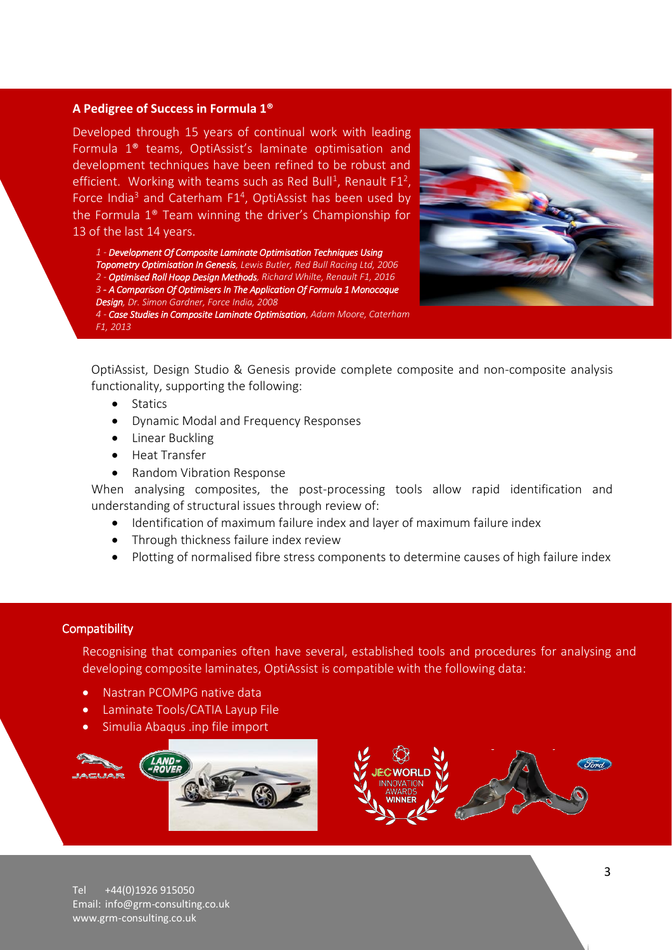### **A Pedigree of Success in Formula 1®**

Developed through 15 years of continual work with leading Formula 1® teams, OptiAssist's laminate optimisation and development techniques have been refined to be robust and efficient. Working with teams such as Red Bull<sup>1</sup>, Renault F1<sup>2</sup>, Force India<sup>3</sup> and Caterham  $F1<sup>4</sup>$ , OptiAssist has been used by the Formula 1® Team winning the driver's Championship for 13 of the last 14 years.

*1 - Development Of Composite Laminate Optimisation Techniques Using Topometry Optimisation In Genesis, Lewis Butler, Red Bull Racing Ltd, 2006 2 - Optimised Roll Hoop Design Methods, Richard Whilte, Renault F1, 2016 3 - A Comparison Of Optimisers In The Application Of Formula 1 Monocoque Design, Dr. Simon Gardner, Force India, 2008*

*4 - Case Studies in Composite Laminate Optimisation, Adam Moore, Caterham F1, 2013*



OptiAssist, Design Studio & Genesis provide complete composite and non-composite analysis functionality, supporting the following:

- Statics
- Dynamic Modal and Frequency Responses
- Linear Buckling
- Heat Transfer
- Random Vibration Response

When analysing composites, the post-processing tools allow rapid identification and understanding of structural issues through review of:

- Identification of maximum failure index and layer of maximum failure index
- Through thickness failure index review
- Plotting of normalised fibre stress components to determine causes of high failure index

### **Compatibility**

Recognising that companies often have several, established tools and procedures for analysing and developing composite laminates, OptiAssist is compatible with the following data:

- Nastran PCOMPG native data
- Laminate Tools/CATIA Layup File
- Simulia Abaqus .inp file import